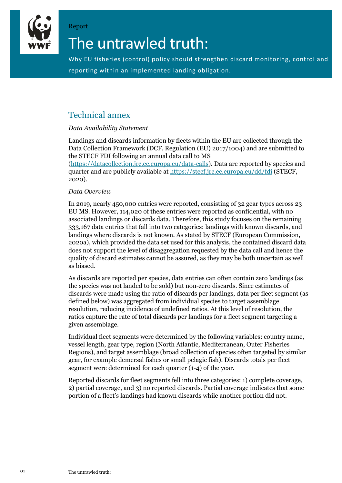

# The untrawled truth:

Why EU fisheries (control) policy should strengthen discard monitoring, control and reporting within an implemented landing obligation.

### Technical annex

Report

#### *Data Availability Statement*

Landings and discards information by fleets within the EU are collected through the Data Collection Framework (DCF, Regulation (EU) 2017/1004) and are submitted to the STECF FDI following an annual data call to MS

(https://datacollection.jrc.ec.europa.eu/data-calls). Data are reported by species and quarter and are publicly available at https://stecf.jrc.ec.europa.eu/dd/fdi (STECF, 2020).

#### *Data Overview*

In 2019, nearly 450,000 entries were reported, consisting of 32 gear types across 23 EU MS. However, 114,020 of these entries were reported as confidential, with no associated landings or discards data. Therefore, this study focuses on the remaining 333,167 data entries that fall into two categories: landings with known discards, and landings where discards is not known. As stated by STECF (European Commission, 2020a), which provided the data set used for this analysis, the contained discard data does not support the level of disaggregation requested by the data call and hence the quality of discard estimates cannot be assured, as they may be both uncertain as well as biased.

As discards are reported per species, data entries can often contain zero landings (as the species was not landed to be sold) but non-zero discards. Since estimates of discards were made using the ratio of discards per landings, data per fleet segment (as defined below) was aggregated from individual species to target assemblage resolution, reducing incidence of undefined ratios. At this level of resolution, the ratios capture the rate of total discards per landings for a fleet segment targeting a given assemblage.

Individual fleet segments were determined by the following variables: country name, vessel length, gear type, region (North Atlantic, Mediterranean, Outer Fisheries Regions), and target assemblage (broad collection of species often targeted by similar gear, for example demersal fishes or small pelagic fish). Discards totals per fleet segment were determined for each quarter (1-4) of the year.

Reported discards for fleet segments fell into three categories: 1) complete coverage, 2) partial coverage, and 3) no reported discards. Partial coverage indicates that some portion of a fleet's landings had known discards while another portion did not.